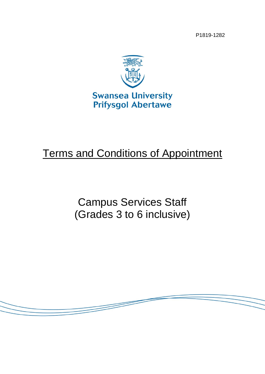P1819-1282



# Terms and Conditions of Appointment

Campus Services Staff (Grades 3 to 6 inclusive)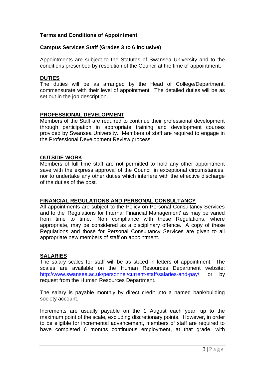## **Terms and Conditions of Appointment**

## **Campus Services Staff (Grades 3 to 6 inclusive)**

Appointments are subject to the Statutes of Swansea University and to the conditions prescribed by resolution of the Council at the time of appointment.

## **DUTIES**

The duties will be as arranged by the Head of College/Department, commensurate with their level of appointment. The detailed duties will be as set out in the job description.

## **PROFESSIONAL DEVELOPMENT**

Members of the Staff are required to continue their professional development through participation in appropriate training and development courses provided by Swansea University. Members of staff are required to engage in the Professional Development Review process.

## **OUTSIDE WORK**

Members of full time staff are not permitted to hold any other appointment save with the express approval of the Council in exceptional circumstances, nor to undertake any other duties which interfere with the effective discharge of the duties of the post.

## **FINANCIAL REGULATIONS AND PERSONAL CONSULTANCY**

All appointments are subject to the Policy on Personal Consultancy Services and to the 'Regulations for Internal Financial Management' as may be varied from time to time. Non compliance with these Regulations, where appropriate, may be considered as a disciplinary offence. A copy of these Regulations and those for Personal Consultancy Services are given to all appropriate new members of staff on appointment.

## **SALARIES**

The salary scales for staff will be as stated in letters of appointment. The scales are available on the Human Resources Department website: [http://www.swansea.ac.uk/personnel/current-staff/salaries-and-pay/,](http://www.swansea.ac.uk/personnel/current-staff/salaries-and-pay/) or by request from the Human Resources Department.

The salary is payable monthly by direct credit into a named bank/building society account.

Increments are usually payable on the 1 August each year, up to the maximum point of the scale, excluding discretionary points. However, in order to be eligible for incremental advancement, members of staff are required to have completed 6 months continuous employment, at that grade, with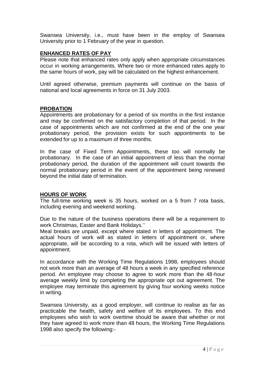Swansea University, i.e., must have been in the employ of Swansea University prior to 1 February of the year in question.

## **ENHANCED RATES OF PAY**

Please note that enhanced rates only apply when appropriate circumstances occur in working arrangements. Where two or more enhanced rates apply to the same hours of work, pay will be calculated on the highest enhancement.

Until agreed otherwise, premium payments will continue on the basis of national and local agreements in force on 31 July 2003.

## **PROBATION**

Appointments are probationary for a period of six months in the first instance and may be confirmed on the satisfactory completion of that period. In the case of appointments which are not confirmed at the end of the one year probationary period, the provision exists for such appointments to be extended for up to a maximum of three months.

In the case of Fixed Term Appointments, these too will normally be probationary. In the case of an initial appointment of less than the normal probationary period, the duration of the appointment will count towards the normal probationary period in the event of the appointment being renewed beyond the initial date of termination.

## **HOURS OF WORK**

The full-time working week is 35 hours, worked on a 5 from 7 rota basis, including evening and weekend working.

Due to the nature of the business operations there will be a requirement to work Christmas, Easter and Bank Holidays."

Meal breaks are unpaid, except where stated in letters of appointment. The actual hours of work will as stated in letters of appointment or, where appropriate, will be according to a rota, which will be issued with letters of appointment.

In accordance with the Working Time Regulations 1998, employees should not work more than an average of 48 hours a week in any specified reference period. An employee may choose to agree to work more than the 48-hour average weekly limit by completing the appropriate opt out agreement. The employee may terminate this agreement by giving four working weeks notice in writing.

Swansea University, as a good employer, will continue to realise as far as practicable the health, safety and welfare of its employees. To this end employees who wish to work overtime should be aware that whether or not they have agreed to work more than 48 hours, the Working Time Regulations 1998 also specify the following:-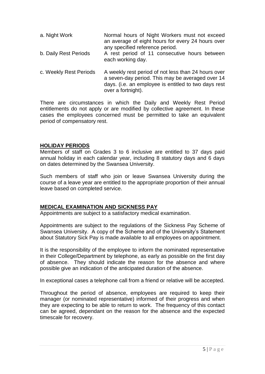- a. Night Work Normal hours of Night Workers must not exceed an average of eight hours for every 24 hours over any specified reference period. b. Daily Rest Periods A rest period of 11 consecutive hours between each working day.
- c. Weekly Rest Periods A weekly rest period of not less than 24 hours over a seven-day period. This may be averaged over 14 days. (i.e. an employee is entitled to two days rest over a fortnight).

There are circumstances in which the Daily and Weekly Rest Period entitlements do not apply or are modified by collective agreement. In these cases the employees concerned must be permitted to take an equivalent period of compensatory rest.

# **HOLIDAY PERIODS**

Members of staff on Grades 3 to 6 inclusive are entitled to 37 days paid annual holiday in each calendar year, including 8 statutory days and 6 days on dates determined by the Swansea University.

Such members of staff who join or leave Swansea University during the course of a leave year are entitled to the appropriate proportion of their annual leave based on completed service.

## **MEDICAL EXAMINATION AND SICKNESS PAY**

Appointments are subject to a satisfactory medical examination.

Appointments are subject to the regulations of the Sickness Pay Scheme of Swansea University. A copy of the Scheme and of the University's Statement about Statutory Sick Pay is made available to all employees on appointment.

It is the responsibility of the employee to inform the nominated representative in their College/Department by telephone, as early as possible on the first day of absence. They should indicate the reason for the absence and where possible give an indication of the anticipated duration of the absence.

In exceptional cases a telephone call from a friend or relative will be accepted.

Throughout the period of absence, employees are required to keep their manager (or nominated representative) informed of their progress and when they are expecting to be able to return to work. The frequency of this contact can be agreed, dependant on the reason for the absence and the expected timescale for recovery.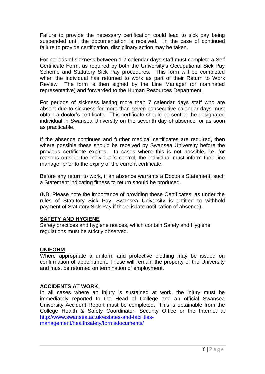Failure to provide the necessary certification could lead to sick pay being suspended until the documentation is received. In the case of continued failure to provide certification, disciplinary action may be taken.

For periods of sickness between 1-7 calendar days staff must complete a Self Certificate Form, as required by both the University's Occupational Sick Pay Scheme and Statutory Sick Pay procedures. This form will be completed when the individual has returned to work as part of their Return to Work Review The form is then signed by the Line Manager (or nominated representative) and forwarded to the Human Resources Department.

For periods of sickness lasting more than 7 calendar days staff who are absent due to sickness for more than seven consecutive calendar days must obtain a doctor's certificate. This certificate should be sent to the designated individual in Swansea University on the seventh day of absence, or as soon as practicable.

If the absence continues and further medical certificates are required, then where possible these should be received by Swansea University before the previous certificate expires. In cases where this is not possible, i.e. for reasons outside the individual's control, the individual must inform their line manager prior to the expiry of the current certificate.

Before any return to work, if an absence warrants a Doctor's Statement, such a Statement indicating fitness to return should be produced.

(NB: Please note the importance of providing these Certificates, as under the rules of Statutory Sick Pay, Swansea University is entitled to withhold payment of Statutory Sick Pay if there is late notification of absence).

## **SAFETY AND HYGIENE**

Safety practices and hygiene notices, which contain Safety and Hygiene regulations must be strictly observed.

## **UNIFORM**

Where appropriate a uniform and protective clothing may be issued on confirmation of appointment. These will remain the property of the University and must be returned on termination of employment.

## **ACCIDENTS AT WORK**

In all cases where an injury is sustained at work, the injury must be immediately reported to the Head of College and an official Swansea University Accident Report must be completed. This is obtainable from the College Health & Safety Coordinator, Security Office or the Internet at [http://www.swansea.ac.uk/estates-and-facilities](http://www.swansea.ac.uk/estates-and-facilities-management/healthsafety/formsdocuments/)[management/healthsafety/formsdocuments/](http://www.swansea.ac.uk/estates-and-facilities-management/healthsafety/formsdocuments/)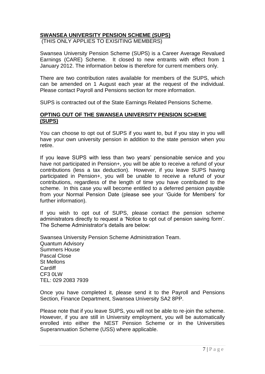# **SWANSEA UNIVERSITY PENSION SCHEME (SUPS)**

(THIS ONLY APPLIES TO EXISITING MEMBERS)

Swansea University Pension Scheme (SUPS) is a Career Average Revalued Earnings (CARE) Scheme. It closed to new entrants with effect from 1 January 2012. The information below is therefore for current members only.

There are two contribution rates available for members of the SUPS, which can be amended on 1 August each year at the request of the individual. Please contact Payroll and Pensions section for more information.

SUPS is contracted out of the State Earnings Related Pensions Scheme.

## **OPTING OUT OF THE SWANSEA UNIVERSITY PENSION SCHEME (SUPS)**

You can choose to opt out of SUPS if you want to, but if you stay in you will have your own university pension in addition to the state pension when you retire.

If you leave SUPS with less than two years' pensionable service and you have not participated in Pension+, you will be able to receive a refund of your contributions (less a tax deduction). However, if you leave SUPS having participated in Pension+, you will be unable to receive a refund of your contributions, regardless of the length of time you have contributed to the scheme. In this case you will become entitled to a deferred pension payable from your Normal Pension Date (please see your 'Guide for Members' for further information).

If you wish to opt out of SUPS, please contact the pension scheme administrators directly to request a 'Notice to opt out of pension saving form'. The Scheme Administrator's details are below:

Swansea University Pension Scheme Administration Team. Quantum Advisory Summers House Pascal Close St Mellons **Cardiff** CF3 0LW TEL: 029 2083 7939

Once you have completed it, please send it to the Payroll and Pensions Section, Finance Department, Swansea University SA2 8PP.

Please note that if you leave SUPS, you will not be able to re-join the scheme. However, if you are still in University employment, you will be automatically enrolled into either the NEST Pension Scheme or in the Universities Superannuation Scheme (USS) where applicable.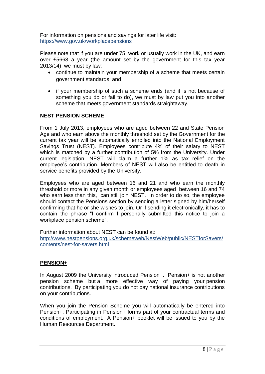For information on pensions and savings for later life visit: <https://www.gov.uk/workplacepensions>

Please note that if you are under 75, work or usually work in the UK, and earn over £5668 a year (the amount set by the government for this tax year 2013/14), we must by law:

- continue to maintain your membership of a scheme that meets certain government standards; and
- if your membership of such a scheme ends (and it is not because of something you do or fail to do), we must by law put you into another scheme that meets government standards straightaway.

# **NEST PENSION SCHEME**

From 1 July 2013, employees who are aged between 22 and State Pension Age and who earn above the monthly threshold set by the Government for the current tax year will be automatically enrolled into the National Employment Savings Trust (NEST). Employees contribute 4% of their salary to NEST which is matched by a further contribution of 5% from the University. Under current legislation, NEST will claim a further 1% as tax relief on the employee's contribution. Members of NEST will also be entitled to death in service benefits provided by the University.

Employees who are aged between 16 and 21 and who earn the monthly threshold or more in any given month or employees aged between 16 and 74 who earn less than this, can still join NEST. In order to do so, the employee should contact the Pensions section by sending a letter signed by him/herself confirming that he or she wishes to join. Or if sending it electronically, it has to contain the phrase "I confirm I personally submitted this notice to join a workplace pension scheme".

Further information about NEST can be found at:

[http://www.nestpensions.org.uk/schemeweb/NestWeb/public/NESTforSavers/](http://www.nestpensions.org.uk/schemeweb/NestWeb/public/NESTforSavers/contents/nest-for-savers.html) [contents/nest-for-savers.html](http://www.nestpensions.org.uk/schemeweb/NestWeb/public/NESTforSavers/contents/nest-for-savers.html)

# **PENSION+**

In August 2009 the University introduced Pension+. Pension+ is not another pension scheme but a more effective way of paying your pension contributions. By participating you do not pay national insurance contributions on your contributions.

When you join the Pension Scheme you will automatically be entered into Pension+. Participating in Pension+ forms part of your contractual terms and conditions of employment. A Pension+ booklet will be issued to you by the Human Resources Department.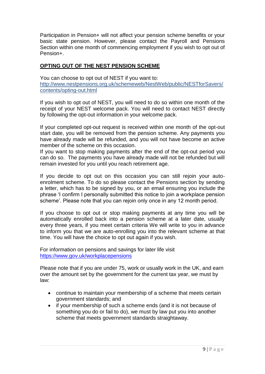Participation in Pension+ will not affect your pension scheme benefits or your basic state pension. However, please contact the Payroll and Pensions Section within one month of commencing employment if you wish to opt out of Pension+.

# **OPTING OUT OF THE NEST PENSION SCHEME**

You can choose to opt out of NEST if you want to: [http://www.nestpensions.org.uk/schemeweb/NestWeb/public/NESTforSavers/](http://www.nestpensions.org.uk/schemeweb/NestWeb/public/NESTforSavers/contents/opting-out.html) [contents/opting-out.html](http://www.nestpensions.org.uk/schemeweb/NestWeb/public/NESTforSavers/contents/opting-out.html)

If you wish to opt out of NEST, you will need to do so within one month of the receipt of your NEST welcome pack. You will need to contact NEST directly by following the opt-out information in your welcome pack.

If your completed opt-out request is received within one month of the opt-out start date, you will be removed from the pension scheme. Any payments you have already made will be refunded, and you will not have become an active member of the scheme on this occasion.

If you want to stop making payments after the end of the opt-out period you can do so. The payments you have already made will not be refunded but will remain invested for you until you reach retirement age.

If you decide to opt out on this occasion you can still rejoin your autoenrolment scheme. To do so please contact the Pensions section by sending a letter, which has to be signed by you, or an email ensuring you include the phrase 'I confirm I personally submitted this notice to join a workplace pension scheme'. Please note that you can rejoin only once in any 12 month period.

If you choose to opt out or stop making payments at any time you will be automatically enrolled back into a pension scheme at a later date, usually every three years, if you meet certain criteria We will write to you in advance to inform you that we are auto-enrolling you into the relevant scheme at that time. You will have the choice to opt out again if you wish.

For information on pensions and savings for later life visit <https://www.gov.uk/workplacepensions>

Please note that if you are under 75, work or usually work in the UK, and earn over the amount set by the government for the current tax year, we must by law:

- continue to maintain your membership of a scheme that meets certain government standards; and
- if your membership of such a scheme ends (and it is not because of something you do or fail to do), we must by law put you into another scheme that meets government standards straightaway.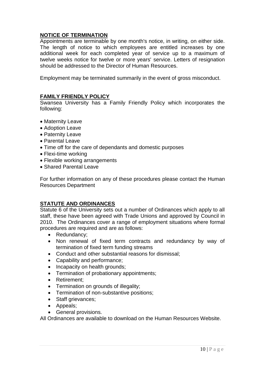# **NOTICE OF TERMINATION**

Appointments are terminable by one month's notice, in writing, on either side. The length of notice to which employees are entitled increases by one additional week for each completed year of service up to a maximum of twelve weeks notice for twelve or more years' service. Letters of resignation should be addressed to the Director of Human Resources.

Employment may be terminated summarily in the event of gross misconduct.

## **FAMILY FRIENDLY POLICY**

Swansea University has a Family Friendly Policy which incorporates the following:

- Maternity Leave
- Adoption Leave
- Paternity Leave
- Parental Leave
- Time off for the care of dependants and domestic purposes
- Flexi-time working
- Flexible working arrangements
- Shared Parental Leave

For further information on any of these procedures please contact the Human Resources Department

## **STATUTE AND ORDINANCES**

Statute 6 of the University sets out a number of Ordinances which apply to all staff, these have been agreed with Trade Unions and approved by Council in 2010. The Ordinances cover a range of employment situations where formal procedures are required and are as follows:

- Redundancy:
- Non renewal of fixed term contracts and redundancy by way of termination of fixed term funding streams
- Conduct and other substantial reasons for dismissal;
- Capability and performance;
- Incapacity on health grounds;
- Termination of probationary appointments;
- Retirement:
- Termination on grounds of illegality;
- Termination of non-substantive positions;
- Staff grievances;
- Appeals;
- **•** General provisions.

All Ordinances are available to download on the Human Resources Website.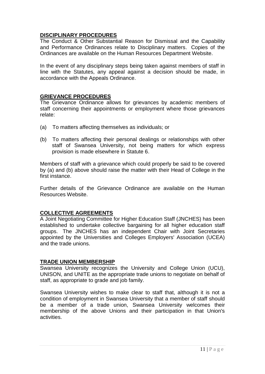# **DISCIPLINARY PROCEDURES**

The Conduct & Other Substantial Reason for Dismissal and the Capability and Performance Ordinances relate to Disciplinary matters. Copies of the Ordinances are available on the Human Resources Department Website.

In the event of any disciplinary steps being taken against members of staff in line with the Statutes, any appeal against a decision should be made, in accordance with the Appeals Ordinance.

## **GRIEVANCE PROCEDURES**

The Grievance Ordinance allows for grievances by academic members of staff concerning their appointments or employment where those grievances relate:

- (a) To matters affecting themselves as individuals; or
- (b) To matters affecting their personal dealings or relationships with other staff of Swansea University, not being matters for which express provision is made elsewhere in Statute 6.

Members of staff with a grievance which could properly be said to be covered by (a) and (b) above should raise the matter with their Head of College in the first instance.

Further details of the Grievance Ordinance are available on the Human Resources Website.

## **COLLECTIVE AGREEMENTS**

A Joint Negotiating Committee for Higher Education Staff (JNCHES) has been established to undertake collective bargaining for all higher education staff groups. The JNCHES has an independent Chair with Joint Secretaries appointed by the Universities and Colleges Employers' Association (UCEA) and the trade unions.

## **TRADE UNION MEMBERSHIP**

Swansea University recognizes the University and College Union (UCU), UNISON, and UNITE as the appropriate trade unions to negotiate on behalf of staff, as appropriate to grade and job family.

Swansea University wishes to make clear to staff that, although it is not a condition of employment in Swansea University that a member of staff should be a member of a trade union, Swansea University welcomes their membership of the above Unions and their participation in that Union's activities.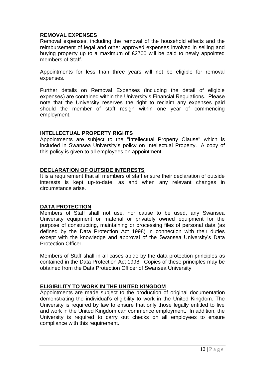# **REMOVAL EXPENSES**

Removal expenses, including the removal of the household effects and the reimbursement of legal and other approved expenses involved in selling and buying property up to a maximum of £2700 will be paid to newly appointed members of Staff.

Appointments for less than three years will not be eligible for removal expenses.

Further details on Removal Expenses (including the detail of eligible expenses) are contained within the University's Financial Regulations. Please note that the University reserves the right to reclaim any expenses paid should the member of staff resign within one year of commencing employment.

# **INTELLECTUAL PROPERTY RIGHTS**

Appointments are subject to the "Intellectual Property Clause" which is included in Swansea University's policy on Intellectual Property. A copy of this policy is given to all employees on appointment.

# **DECLARATION OF OUTSIDE INTERESTS**

It is a requirement that all members of staff ensure their declaration of outside interests is kept up-to-date, as and when any relevant changes in circumstance arise.

# **DATA PROTECTION**

Members of Staff shall not use, nor cause to be used, any Swansea University equipment or material or privately owned equipment for the purpose of constructing, maintaining or processing files of personal data (as defined by the Data Protection Act 1998) in connection with their duties except with the knowledge and approval of the Swansea University's Data Protection Officer.

Members of Staff shall in all cases abide by the data protection principles as contained in the Data Protection Act 1998. Copies of these principles may be obtained from the Data Protection Officer of Swansea University.

# **ELIGIBILITY TO WORK IN THE UNITED KINGDOM**

Appointments are made subject to the production of original documentation demonstrating the individual's eligibility to work in the United Kingdom. The University is required by law to ensure that only those legally entitled to live and work in the United Kingdom can commence employment. In addition, the University is required to carry out checks on all employees to ensure compliance with this requirement.